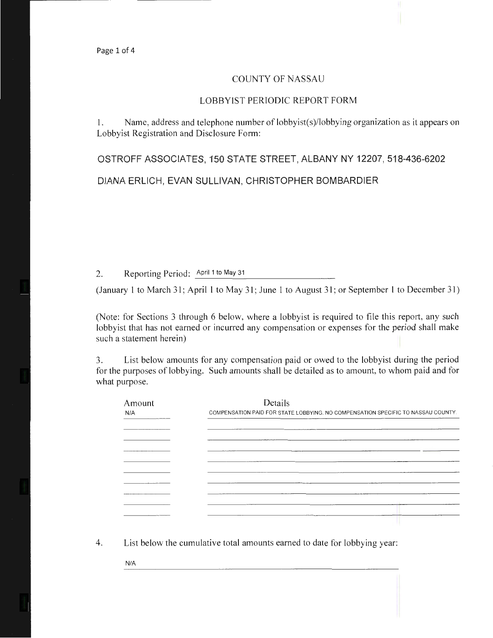## COUNTY OF NASSAU

## LOBBYIST PERIODIC REPORT FORM

1. Name, address and telephone number of lobbyist(s)/lobbying organization as it appears on Lobbyist Registration and Disclosure Form:

OSTROFF ASSOCIATES, 150 STATE STREET, ALBANY NY 12207, 518-436-6202

DIANA ERLICH, EVAN SULLIVAN, CHRISTOPHER BOMBARDIER

2. Reporting Period: April 1 to May 31

(January 1 to March 31; April 1 to May 31; June 1 to August 31; or September 1 to December 31)

(Note: for Sections 3 through 6 below, where a lobbyist is required to file this report, any such lobbyist that has not earned or incurred any compensation or expenses for the period shall make such a statement herein)

3. List below amounts for any compensation paid or owed to the lobbyist during the period for the purposes of lobbying. Such amounts shall be detailed as to amount, to whom paid and for what purpose.

| Amount | Details                                                                          |  |  |  |
|--------|----------------------------------------------------------------------------------|--|--|--|
| N/A    | COMPENSATION PAID FOR STATE LOBBYING. NO COMPENSATION SPECIFIC TO NASSAU COUNTY. |  |  |  |
|        |                                                                                  |  |  |  |
|        |                                                                                  |  |  |  |
|        |                                                                                  |  |  |  |
|        |                                                                                  |  |  |  |
|        |                                                                                  |  |  |  |
|        |                                                                                  |  |  |  |
|        |                                                                                  |  |  |  |
|        |                                                                                  |  |  |  |
|        |                                                                                  |  |  |  |
|        |                                                                                  |  |  |  |
|        |                                                                                  |  |  |  |
|        |                                                                                  |  |  |  |

4. List below the cumulative total amounts earned to date for lobbying year:

N/A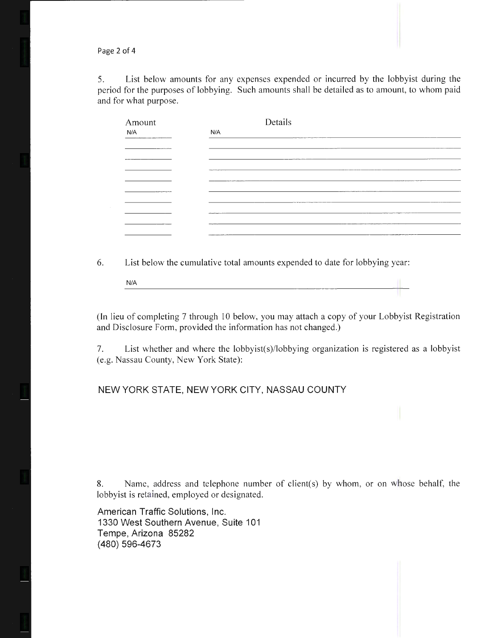Page 2 of 4

5. List below amounts for any expenses expended or incurred by the lobbyist during the period for the purposes of lobbying. Such amounts shall be detailed as to amount, to whom paid and for what purpose.

| Amount | Details |
|--------|---------|
| N/A    | N/A     |
|        |         |
|        |         |
|        |         |
|        |         |
|        |         |
| ______ |         |
|        |         |
|        |         |
|        |         |
|        | ------  |

6. List below the cumulative total amounts expended to date for lobbying year:

N/A

(In lieu of completing 7 through 10 below, you may attach a copy of your Lobbyist Registration and Disclosure Form, provided the information has not changed.)

7. List whether and where the lobbyist(s)/lobbying organization is registered as a lobbyist (e.g. Nassau County, New York State):

## NEW YORK STATE, NEW YORK CITY, NASSAU COUNTY

8. Name, address and telephone number of client(s) by whom, or on whose behalf, the lobbyist is retained, employed or designated.

American Traffic Solutions, Inc. 1330 West Southern Avenue, Suite 101 Tempe, Arizona 85282 (480) 596-4673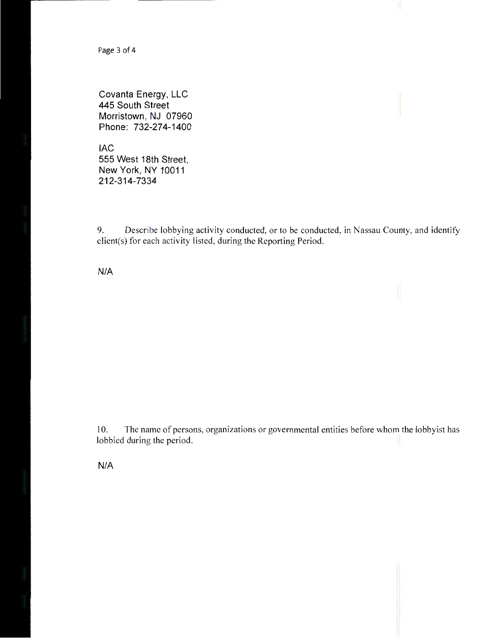Page 3 of 4

Covanta Energy, LLC 445 South Street Morristown, NJ 07960 Phone: 732-274-1400

lAC 555 West 18th Street, New York, NY 10011 212-314-7334

9. Describe lobbying activity conducted, or to be conducted, in Nassau County, and identify client(s) for each activity listed, during the Reporting Period.

N/A

10. The name of persons, organizations or governmental entities before whom the lobbyist has lobbied during the period.

N/A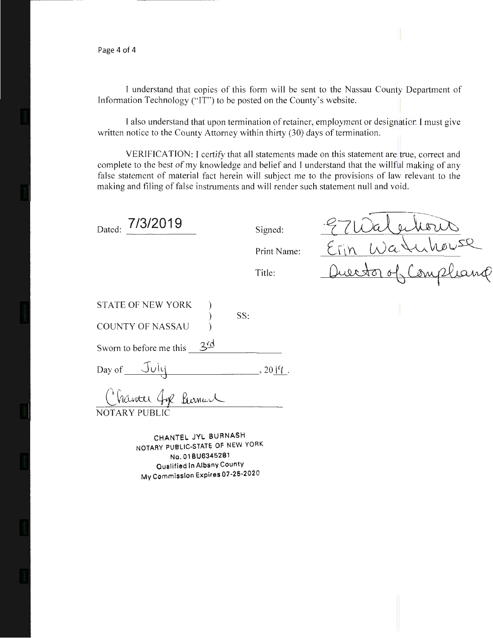Page 4 of 4

I understand that copies of this form will be sent to the Nassau County Department of Information Technology ("IT") to be posted on the County's website.

I also understand that upon termination of retainer, employment or designation I must give written notice to the County Attorney within thirty (30) days of termination.

VERIFICATION: I certify that all statements made on this statement are true, correct and complete to the best of my knowledge and belief and I understand that the willful making of any false statement of material fact herein will subject me to the provisions of law relevant to the making and filing of false instruments and will render such statement null and void.

Erwalenberr

 $Erin$  Watuber

Queestor of Compliance

| Dated: 7/3/2019              |     | Signed:     |
|------------------------------|-----|-------------|
|                              |     | Print Name: |
|                              |     | Title:      |
| <b>STATE OF NEW YORK</b>     |     |             |
| <b>COUNTY OF NASSAU</b>      | SS: |             |
| Sworn to before me this $34$ |     |             |
| Day of July                  |     | $, 2014$ .  |
| Chanter fox Purnant          |     |             |
| NOTARY PUBLIC                |     |             |

CHANTEL JVL BURNASH NOTARY PUBLIC-STATE OF NEW YORK No. 01 BU6345281 Qualified In Albany County My Commission Expires 07-25-2020